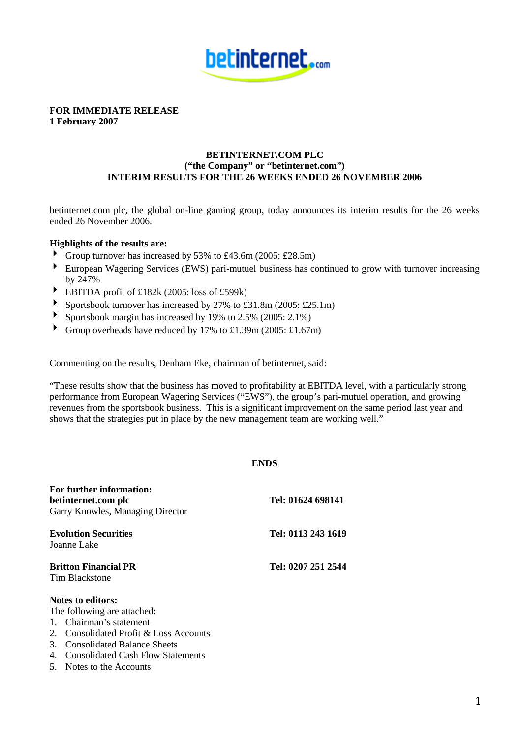

**FOR IMMEDIATE RELEASE 1 February 2007**

# **BETINTERNET.COM PLC ("the Company" or "betinternet.com") INTERIM RESULTS FOR THE 26 WEEKS ENDED 26 NOVEMBER 2006**

betinternet.com plc, the global on-line gaming group, today announces its interim results for the 26 weeks ended 26 November 2006.

# **Highlights of the results are:**

- Group turnover has increased by 53% to £43.6m (2005: £28.5m)
- European Wagering Services (EWS) pari-mutuel business has continued to grow with turnover increasing by 247%
- EBITDA profit of £182k (2005: loss of £599k)
- Sportsbook turnover has increased by 27% to £31.8m (2005: £25.1m)<br>
Sportsbook margin has increased by 19% to 2.5% (2005: 2.1%)
- Sportsbook margin has increased by 19% to 2.5% (2005: 2.1%)
- Group overheads have reduced by 17% to £1.39m (2005: £1.67m)

Commenting on the results, Denham Eke, chairman of betinternet, said:

"These results show that the business has moved to profitability at EBITDA level, with a particularly strong performance from European Wagering Services ("EWS"), the group's pari-mutuel operation, and growing revenues from the sportsbook business. This is a significant improvement on the same period last year and shows that the strategies put in place by the new management team are working well."

# **ENDS**

| For further information:<br>betinternet.com plc<br>Garry Knowles, Managing Director                                                                                                   | Tel: 01624 698141  |
|---------------------------------------------------------------------------------------------------------------------------------------------------------------------------------------|--------------------|
| <b>Evolution Securities</b><br>Joanne Lake                                                                                                                                            | Tel: 0113 243 1619 |
| <b>Britton Financial PR</b><br><b>Tim Blackstone</b>                                                                                                                                  | Tel: 0207 251 2544 |
| <b>Notes to editors:</b><br>The following are attached:<br>1. Chairman's statement<br>2. Consolidated Profit & Loss Accounts<br>$\Omega$ $\Omega$ $\Omega$ $\Omega$ $\Omega$ $\Omega$ |                    |

- 3. Consolidated Balance Sheets
- 4. Consolidated Cash Flow Statements
- 5. Notes to the Accounts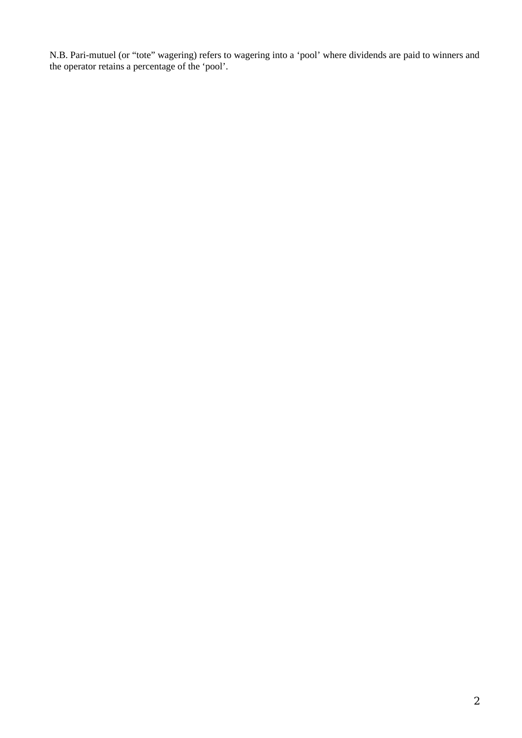N.B. Pari-mutuel (or "tote" wagering) refers to wagering into a 'pool' where dividends are paid to winners and the operator retains a percentage of the 'pool'.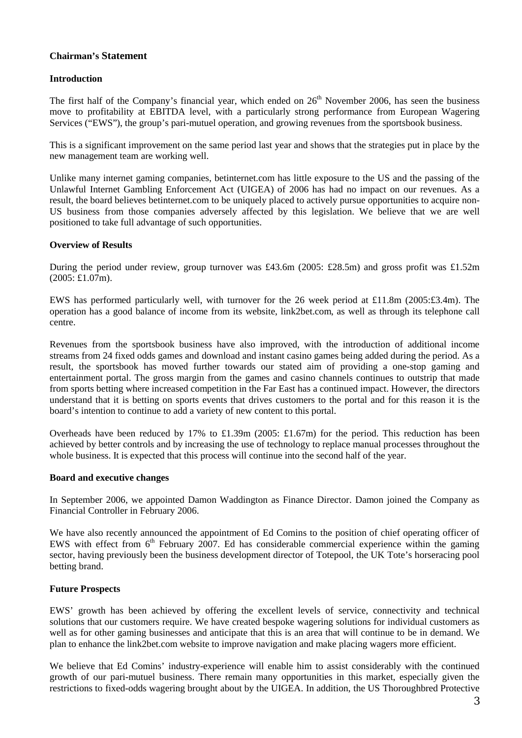# **Chairman's Statement**

# **Introduction**

The first half of the Company's financial year, which ended on  $26<sup>th</sup>$  November 2006, has seen the business move to profitability at EBITDA level, with a particularly strong performance from European Wagering Services ("EWS"), the group's pari-mutuel operation, and growing revenues from the sportsbook business.

This is a significant improvement on the same period last year and shows that the strategies put in place by the new management team are working well.

Unlike many internet gaming companies, betinternet.com has little exposure to the US and the passing of the Unlawful Internet Gambling Enforcement Act (UIGEA) of 2006 has had no impact on our revenues. As a result, the board believes betinternet.com to be uniquely placed to actively pursue opportunities to acquire non-US business from those companies adversely affected by this legislation. We believe that we are well positioned to take full advantage of such opportunities.

# **Overview of Results**

During the period under review, group turnover was £43.6m (2005: £28.5m) and gross profit was £1.52m (2005: £1.07m).

EWS has performed particularly well, with turnover for the 26 week period at £11.8m (2005:£3.4m). The operation has a good balance of income from its website, link2bet.com, as well as through its telephone call centre.

Revenues from the sportsbook business have also improved, with the introduction of additional income streams from 24 fixed odds games and download and instant casino games being added during the period. As a result, the sportsbook has moved further towards our stated aim of providing a one-stop gaming and entertainment portal. The gross margin from the games and casino channels continues to outstrip that made from sports betting where increased competition in the Far East has a continued impact. However, the directors understand that it is betting on sports events that drives customers to the portal and for this reason it is the board's intention to continue to add a variety of new content to this portal.

Overheads have been reduced by 17% to £1.39m (2005: £1.67m) for the period. This reduction has been achieved by better controls and by increasing the use of technology to replace manual processes throughout the whole business. It is expected that this process will continue into the second half of the year.

# **Board and executive changes**

In September 2006, we appointed Damon Waddington as Finance Director. Damon joined the Company as Financial Controller in February 2006.

We have also recently announced the appointment of Ed Comins to the position of chief operating officer of EWS with effect from  $6<sup>th</sup>$  February 2007. Ed has considerable commercial experience within the gaming sector, having previously been the business development director of Totepool, the UK Tote's horseracing pool betting brand.

# **Future Prospects**

EWS' growth has been achieved by offering the excellent levels of service, connectivity and technical solutions that our customers require. We have created bespoke wagering solutions for individual customers as well as for other gaming businesses and anticipate that this is an area that will continue to be in demand. We plan to enhance the link2bet.com website to improve navigation and make placing wagers more efficient.

We believe that Ed Comins' industry-experience will enable him to assist considerably with the continued growth of our pari-mutuel business. There remain many opportunities in this market, especially given the restrictions to fixed-odds wagering brought about by the UIGEA. In addition, the US Thoroughbred Protective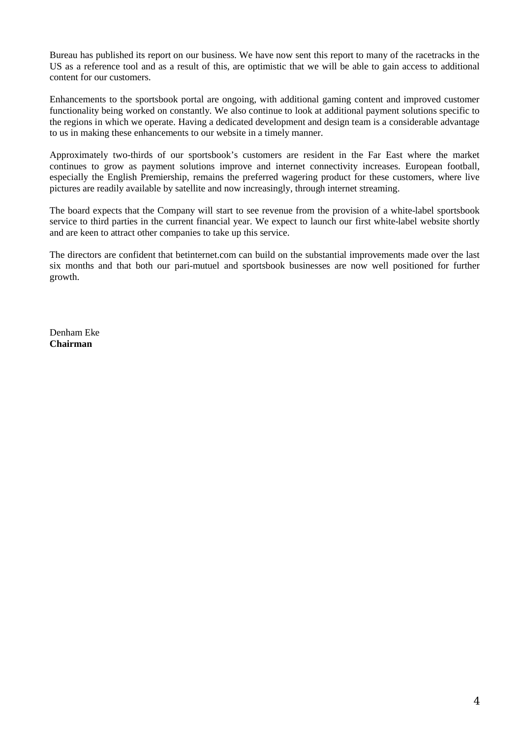Bureau has published its report on our business. We have now sent this report to many of the racetracks in the US as a reference tool and as a result of this, are optimistic that we will be able to gain access to additional content for our customers.

Enhancements to the sportsbook portal are ongoing, with additional gaming content and improved customer functionality being worked on constantly. We also continue to look at additional payment solutions specific to the regions in which we operate. Having a dedicated development and design team is a considerable advantage to us in making these enhancements to our website in a timely manner.

Approximately two-thirds of our sportsbook's customers are resident in the Far East where the market continues to grow as payment solutions improve and internet connectivity increases. European football, especially the English Premiership, remains the preferred wagering product for these customers, where live pictures are readily available by satellite and now increasingly, through internet streaming.

The board expects that the Company will start to see revenue from the provision of a white-label sportsbook service to third parties in the current financial year. We expect to launch our first white-label website shortly and are keen to attract other companies to take up this service.

The directors are confident that betinternet.com can build on the substantial improvements made over the last six months and that both our pari-mutuel and sportsbook businesses are now well positioned for further growth.

Denham Eke **Chairman**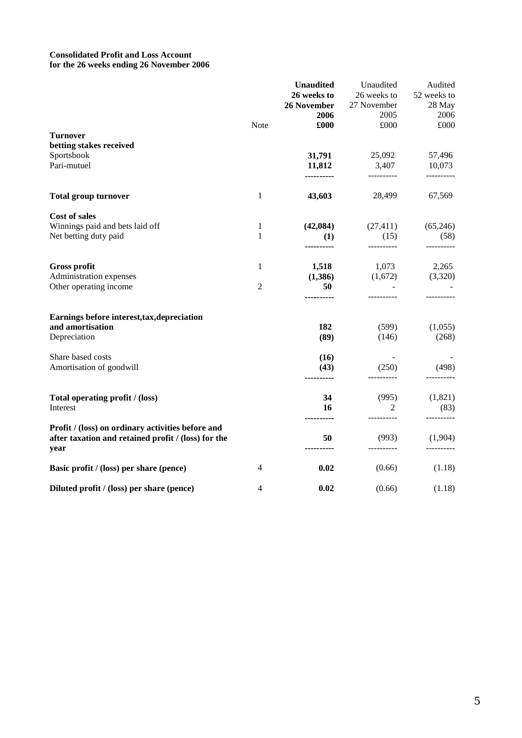### **Consolidated Profit and Loss Account for the 26 weeks ending 26 November 2006**

|                                                             |                | <b>Unaudited</b> | Unaudited        | Audited            |
|-------------------------------------------------------------|----------------|------------------|------------------|--------------------|
|                                                             |                | 26 weeks to      | 26 weeks to      | 52 weeks to        |
|                                                             |                | 26 November      | 27 November      | 28 May             |
|                                                             |                | 2006             | 2005             | 2006               |
|                                                             | Note           | £000             | £000             | £000               |
| <b>Turnover</b>                                             |                |                  |                  |                    |
| betting stakes received                                     |                |                  |                  |                    |
| Sportsbook                                                  |                | 31,791           | 25,092           | 57,496             |
| Pari-mutuel                                                 |                | 11,812           | 3,407            | 10,073             |
|                                                             |                | ----------       | -----------      | ----------         |
| <b>Total group turnover</b>                                 | $\mathbf{1}$   | 43,603           | 28,499           | 67,569             |
| Cost of sales                                               |                |                  |                  |                    |
| Winnings paid and bets laid off                             | 1              | (42,084)         | (27, 411)        | (65,246)           |
| Net betting duty paid                                       | 1              | (1)              | (15)             | (58)               |
|                                                             |                |                  | ----------       | ----------         |
| <b>Gross profit</b>                                         | 1              | 1,518            | 1,073            | 2,265              |
| Administration expenses                                     |                | (1,386)          | (1,672)          | (3,320)            |
| Other operating income                                      | $\overline{2}$ | 50               |                  |                    |
|                                                             |                | ---------        |                  |                    |
| Earnings before interest, tax, depreciation                 |                |                  |                  |                    |
| and amortisation                                            |                | 182              | (599)            | (1,055)            |
| Depreciation                                                |                | (89)             | (146)            | (268)              |
| Share based costs                                           |                | (16)             |                  |                    |
| Amortisation of goodwill                                    |                | (43)             | (250)            | (498)              |
|                                                             |                |                  |                  |                    |
| Total operating profit / (loss)                             |                | 34               | (995)            | (1,821)            |
| Interest                                                    |                | 16               | 2<br>----------- | (83)<br>---------- |
| Profit / (loss) on ordinary activities before and           |                |                  |                  |                    |
| after taxation and retained profit / (loss) for the<br>year |                | 50               | (993)            | (1,904)            |
| Basic profit / (loss) per share (pence)                     | 4              | 0.02             | (0.66)           | (1.18)             |
| Diluted profit / (loss) per share (pence)                   | 4              | 0.02             | (0.66)           | (1.18)             |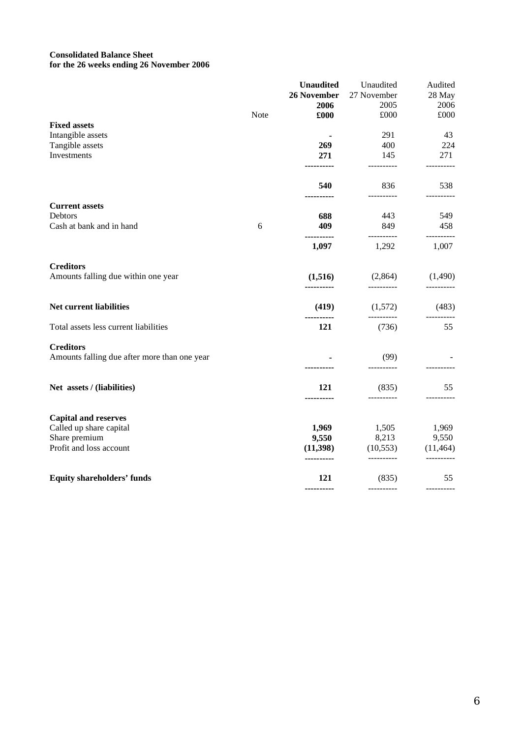# **Consolidated Balance Sheet for the 26 weeks ending 26 November 2006**

|                                              |      | <b>Unaudited</b>       | Unaudited               | Audited           |
|----------------------------------------------|------|------------------------|-------------------------|-------------------|
|                                              |      | 26 November            | 27 November             | 28 May            |
|                                              |      | 2006                   | 2005                    | 2006              |
|                                              | Note | £000                   | £000                    | £000              |
| <b>Fixed assets</b>                          |      |                        |                         |                   |
| Intangible assets                            |      |                        | 291                     | 43                |
| Tangible assets                              |      | 269                    | 400                     | 224               |
| Investments                                  |      | 271<br>-------         | 145                     | 271               |
|                                              |      | 540                    | 836                     | 538               |
| <b>Current assets</b>                        |      |                        |                         |                   |
| Debtors                                      |      | 688                    | 443                     | 549               |
| Cash at bank and in hand                     | 6    | 409<br>----------      | 849<br>-----------      | 458<br>---------- |
|                                              |      | 1,097                  | 1,292                   | 1,007             |
| <b>Creditors</b>                             |      |                        |                         |                   |
| Amounts falling due within one year          |      | (1,516)<br>            | (2,864)<br>----------   | (1,490)           |
| Net current liabilities                      |      | (419)                  | (1,572)                 | (483)             |
| Total assets less current liabilities        |      | 121                    | (736)                   | 55                |
| <b>Creditors</b>                             |      |                        |                         |                   |
| Amounts falling due after more than one year |      |                        | (99)<br>----------      |                   |
| Net assets / (liabilities)                   |      | 121                    | (835)                   | 55                |
|                                              |      |                        | -----------             | ---------         |
| <b>Capital and reserves</b>                  |      |                        |                         |                   |
| Called up share capital                      |      | 1,969                  | 1,505                   | 1,969             |
| Share premium                                |      | 9,550                  | 8,213                   | 9,550             |
| Profit and loss account                      |      | (11,398)<br>---------- | (10, 553)<br>---------- | (11, 464)         |
| <b>Equity shareholders' funds</b>            |      | 121                    | (835)                   | 55                |
|                                              |      | ----------             |                         |                   |
|                                              |      |                        |                         |                   |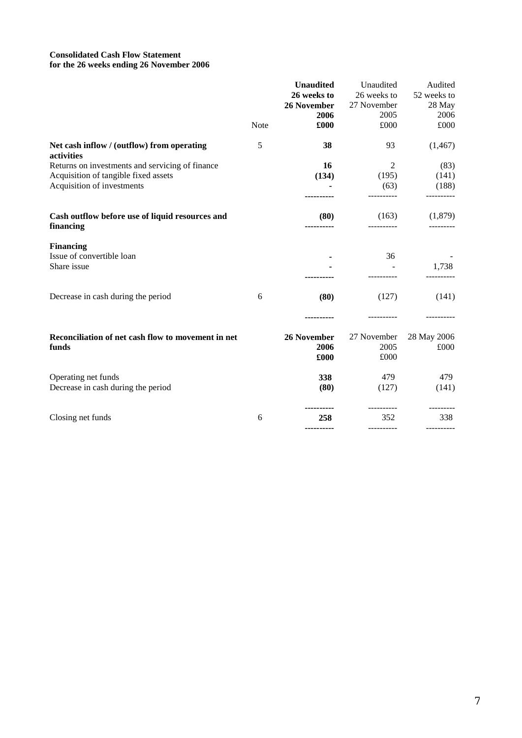### **Consolidated Cash Flow Statement for the 26 weeks ending 26 November 2006**

|                                                              |      | <b>Unaudited</b><br>26 weeks to<br>26 November<br>2006 | Unaudited<br>26 weeks to<br>27 November<br>2005 | Audited<br>52 weeks to<br>28 May<br>2006 |
|--------------------------------------------------------------|------|--------------------------------------------------------|-------------------------------------------------|------------------------------------------|
|                                                              | Note | £000                                                   | £000                                            | £000                                     |
| Net cash inflow / (outflow) from operating<br>activities     | 5    | 38                                                     | 93                                              | (1, 467)                                 |
| Returns on investments and servicing of finance              |      | 16                                                     | 2                                               | (83)                                     |
| Acquisition of tangible fixed assets                         |      | (134)                                                  | (195)                                           | (141)                                    |
| Acquisition of investments                                   |      |                                                        | (63)                                            | (188)                                    |
| Cash outflow before use of liquid resources and<br>financing |      | (80)                                                   | (163)                                           | (1,879)                                  |
| <b>Financing</b><br>Issue of convertible loan<br>Share issue |      |                                                        | 36                                              | 1,738                                    |
| Decrease in cash during the period                           | 6    | (80)                                                   | (127)                                           | (141)                                    |
|                                                              |      |                                                        |                                                 |                                          |
| Reconciliation of net cash flow to movement in net           |      | 26 November                                            | 27 November                                     | 28 May 2006                              |
| funds                                                        |      | 2006                                                   | 2005                                            | £000                                     |
|                                                              |      | £000                                                   | £000                                            |                                          |
| Operating net funds                                          |      | 338                                                    | 479                                             | 479                                      |
| Decrease in cash during the period                           |      | (80)                                                   | (127)                                           | (141)                                    |
|                                                              | 6    | 258                                                    | 352                                             | 338                                      |
| Closing net funds                                            |      |                                                        |                                                 |                                          |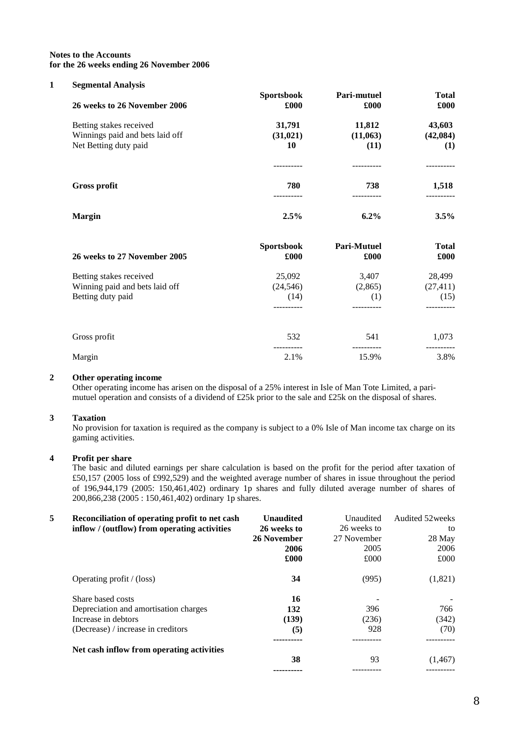#### **Notes to the Accounts for the 26 weeks ending 26 November 2006**

#### **1 Segmental Analysis**

| -<br>26 weeks to 26 November 2006                          | <b>Sportsbook</b><br>£000 | <b>Pari-mutuel</b><br>£000 | <b>Total</b><br>£000 |
|------------------------------------------------------------|---------------------------|----------------------------|----------------------|
| Betting stakes received<br>Winnings paid and bets laid off | 31,791<br>(31, 021)       | 11,812<br>(11,063)         | 43,603<br>(42,084)   |
| Net Betting duty paid                                      | 10                        | (11)                       | (1)                  |
| <b>Gross profit</b>                                        | 780                       | 738                        | 1,518<br>--------    |
| <b>Margin</b>                                              | 2.5%                      | $6.2\%$                    | $3.5\%$              |

| 26 weeks to 27 November 2005   | <b>Sportsbook</b><br>£000 | <b>Pari-Mutuel</b><br>£000 | <b>Total</b><br>£000 |
|--------------------------------|---------------------------|----------------------------|----------------------|
| Betting stakes received        | 25,092                    | 3,407                      | 28,499               |
| Winning paid and bets laid off | (24, 546)                 | (2,865)                    | (27, 411)            |
| Betting duty paid              | (14)                      | (1)                        | (15)                 |
|                                |                           |                            |                      |
| Gross profit                   | 532                       | 541                        | 1,073                |
| Margin                         | 2.1%                      | 15.9%                      | 3.8%                 |

### **2 Other operating income**

Other operating income has arisen on the disposal of a 25% interest in Isle of Man Tote Limited, a parimutuel operation and consists of a dividend of £25k prior to the sale and £25k on the disposal of shares.

#### **3 Taxation**

No provision for taxation is required as the company is subject to a 0% Isle of Man income tax charge on its gaming activities.

## **4 Profit per share**

The basic and diluted earnings per share calculation is based on the profit for the period after taxation of £50,157 (2005 loss of £992,529) and the weighted average number of shares in issue throughout the period of 196,944,179 (2005: 150,461,402) ordinary 1p shares and fully diluted average number of shares of 200,866,238 (2005 : 150,461,402) ordinary 1p shares.

| 5 | Reconciliation of operating profit to net cash<br>inflow / (outflow) from operating activities | <b>Unaudited</b><br>26 weeks to<br>26 November<br>2006<br>£000 | Unaudited<br>26 weeks to<br>27 November<br>2005<br>£000 | Audited 52 weeks<br>to<br>28 May<br>2006<br>£000 |
|---|------------------------------------------------------------------------------------------------|----------------------------------------------------------------|---------------------------------------------------------|--------------------------------------------------|
|   | Operating profit $/$ (loss)                                                                    | 34                                                             | (995)                                                   | (1,821)                                          |
|   | Share based costs                                                                              | 16                                                             |                                                         |                                                  |
|   | Depreciation and amortisation charges                                                          | 132                                                            | 396                                                     | 766                                              |
|   | Increase in debtors                                                                            | (139)                                                          | (236)                                                   | (342)                                            |
|   | (Decrease) / increase in creditors                                                             | (5)                                                            | 928                                                     | (70)                                             |
|   | Net cash inflow from operating activities                                                      |                                                                |                                                         |                                                  |
|   |                                                                                                | 38                                                             | 93                                                      | (1, 467)                                         |
|   |                                                                                                |                                                                |                                                         |                                                  |